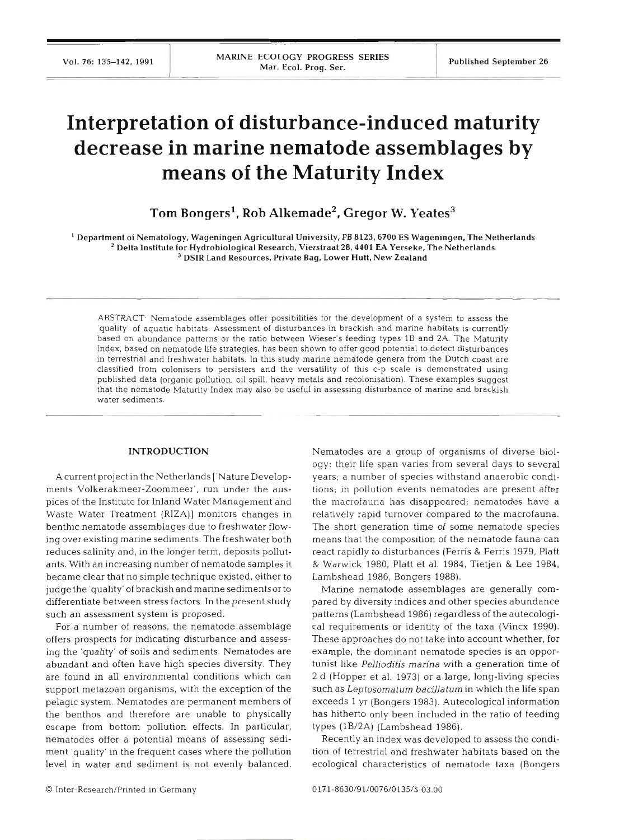# **Interpretation of disturbance-induced maturity decrease in marine nematode assemblages by means of the Maturity Index**

Tom Bongers<sup>1</sup>, Rob Alkemade<sup>2</sup>, Gregor W. Yeates<sup>3</sup>

' Department of Nematology, Wageningen Agricultural University, PB **8123.6700** ES Wageningen. The Netherlands Delta Institute for Hydrobiological Research, Vierstraat **28,4401** EA Yerseke, The Netherlands <sup>3</sup> DSIR Land Resources, Private Bag, Lower Hutt, New Zealand

ABSTRACT Nematode assemblages offer possibilities for the development of a system to assess the 'quality' of aquatic habitats Assessment of disturbances in brackish and marine habitats is currently based on abundance patterns or the ratio between Wieser's feeding types 1B and **2A.** The Maturity Index, based on nematode life strategies, has been shown to offer good potential to detect disturbances in terrestrial and freshwater habitats. In this study marine nematode genera from the Dutch coast are classified from colonisers to persisters and the versatility of this c-p scale is demonstrated using published data (organic pollution, oil spill, heavy metals and recolonisation). These examples suggest that the nematode Maturity Index may also be useful in assessing disturbance of marine and brackish water sediments.

#### **INTRODUCTION**

Acurrent project in the Netherlands ['Nature Developments Volkerakmeer-Zoommeer', run under the auspices of the Institute for Inland Water Management and Waste Water Treatment (RIZA)] monitors changes in benthic nematode assemblages due to freshwater flowing over existing marine sediments. The freshwater both reduces salinity and, in the longer term, deposits pollutants. With an increasing number of nematode samples it became clear that no simple technique existed, either to judge the 'quality' of brackishand marine sediments or to differentiate between stress factors. In the present study such an assessment system is proposed.

For a number of reasons, the nematode assemblage offers prospects for indicating disturbance and assessing the 'quality' of soils and sediments. Nematodes are abundant and often have high species diversity. They are found in all environmental conditions which can support metazoan organisms, with the exception of the pelagic system. Nematodes are permanent members of the benthos and therefore are unable to physically escape from bottom pollution effects. In particular, nematodes offer a potential means of assessing sediment 'quality' in the frequent cases where the pollution level in water and sediment is not evenly balanced.

Nematodes are a group of organisms of diverse biology: their life span varies from several days to several years; a number of species withstand anaerobic conditions; in pollution events nematodes are present after the macrofauna has disappeared; nematodes have a relatively rapid turnover compared to the macrofauna. The short generation time of some nematode species means that the composition of the nematode fauna can react rapidly to disturbances (Ferris & Ferris 1979, Platt & Warwick 1980, Platt et al. 1984, Tietjen & Lee 1984, Lambshead 1986, Bongers 1988).

Marine nematode assemblages are generally compared by diversity indices and other species abundance patterns (Lambshead 1986) regardless of the autecological requirements or identity of the taxa (Vincx 1990). These approaches do not take into account whether, for example, the dominant nematode species is an opportunist like *Pellioditis* marina with a generation time of 2 d (Hopper et al. 1973) or a large, long-living species such as Leptosomatum bacillatum in which the life span exceeds 1 yr (Bongers 1983). Autecological information has hitherto only been included in the ratio of feeding types (1B/2A) (Lambshead 1986).

Recently an index was developed to assess the condition of terrestrial and freshwater habitats based on th ecological characteristics of nematode taxa (Bongers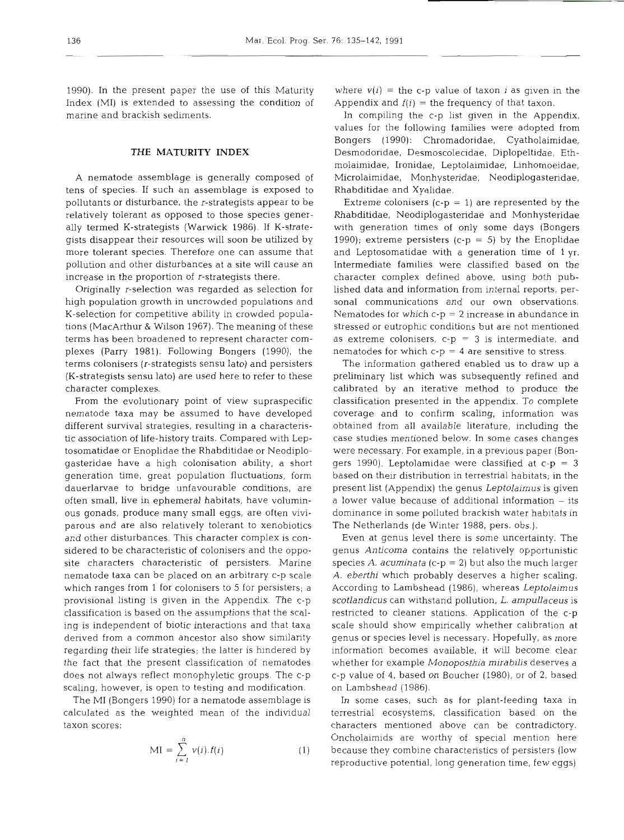1990). In the present paper the use of this Maturity Index (MI) is extended to assessing the condition of marine and brackish sediments.

# **THE MATURITY INDEX**

**A** nematode assemblage is generally composed of tens of species. If such an assemblage is exposed to pollutants or disturbance, the r-strategists appear to be relatively tolerant as opposed to those species generally termed K-strategists (Warwick 1986). If K-strategists disappear their resources will soon be utilized by more tolerant species. Therefore one can assume that pollution and other disturbances at a site will cause an increase in the proportion of r-strategists there.

Originally r-selection was regarded as selection for high population growth in uncrowded populations and K-selection for competitive ability in crowded populations (MacArthur & Wilson 1967). The meaning of these terms has been broadened to represent character complexes (Parry 1981). Following Bongers (1990), the terms colonisers (r-strategists sensu lato) and persisters (K-strategists sensu lato) are used here to refer to these character complexes.

From the evolutionary point of view supraspecific nematode taxa may be assumed to have developed different survival strategies, resulting in a characteristic association of life-history traits. Compared with Leptosomatidae or Enoplidae the Rhabditidae or Neodiplogasteridae have a high colonisation ability, a short generation time, great population fluctuations, form dauerlarvae to bridge unfavourable conditions, are often small, live in ephemeral habitats, have voluminous gonads, produce many small eggs, are often viviparous and are also relatively tolerant to xenobiotics and other disturbances. This character complex is considered to be characteristic of colonisers and the opposite characters characteristic of persisters. Marine nematode taxa can be placed on an arbitrary c-p scale which ranges from 1 for colonisers to 5 for persisters; a provisional listing is given in the Appendix. The c-p classification is based on the assumptions that the scaling is independent of biotic interactions and that taxa derived from a common ancestor also show similarity regarding their life strategies; the latter is hindered by the fact that the present classification of nematodes does not always reflect monophyletic groups. The c-p scaling, however, is open to testing and modification.

The M1 (Bongers 1990) for a nematode assemblage is calculated as the weighted mean of the individual taxon scores:

$$
MI = \sum_{i=1}^{n} v(i).f(i)
$$
 (1)

where  $v(i)$  = the c-p value of taxon *i* as given in the Appendix and  $f(i)$  = the frequency of that taxon.

In compiling the c-p list given in the Appendix, values for the following families were adopted from Bongers (1990): Chromadoridae, Cyatholaimidae, Desmodoridae, Desmoscolecidae, Diplopeltidae, Ethmolaimidae, Ironidae, Leptolaimidae, Linhomoeidae, Microlaimidae, Monhysteridae, Neodiplogasteridae, Rhabditidae and Xyalidae.

Extreme colonisers (c-p = 1) are represented by the Rhabditidae, Neodiplogasteridae and Monhysteridae with generation times of only some days (Bongers 1990); extreme persisters (c-p = 5) by the Enoplidae and Leptosomatidae with a generation time of 1 yr. Intermediate families were classified based on the character complex defined above, using both published data and information from internal reports, personal communications and our own observations. Nematodes for which  $c-p = 2$  increase in abundance in stressed or eutrophic conditions but are not mentioned as extreme colonisers,  $c-p = 3$  is intermediate, and nematodes for which  $c-p = 4$  are sensitive to stress.

The information gathered enabled us to draw up a preliminary list which was subsequently refined and calibrated by an iterative method to produce the classification presented in the appendix. To complete coverage and to confirm scaling, information was obtained from all available literature, including the case studies mentioned below. In some cases changes were necessary. For example, in a previous paper (Bongers 1990), Leptolamidae were classified at c-p = **3**  based on their distribution in terrestrial habitats; in the present list (Appendix) the genus Leptolaimus is given a lower value because of additional information – its dominance in some polluted brackish water habitats in The Netherlands (de Winter 1988, pers. obs.).

Even at genus level there is some uncertainty. The genus Anticoma contains the relatively opportunistic species A. acuminata (c-p = 2) but also the much larger A. eberthi which probably deserves a higher scaling. According to Lambshead (1986), whereas Leptolaimus scotlandicus can withstand pollution, L. ampullaceus is restricted to cleaner stations. Application of the c-p scale should show empirically whether calibration at genus or species level is necessary. Hopefully, as more information becomes available, it will become clear whether for example Monoposthia mirabilis deserves a c-p value of 4, based on Boucher (1980), or of 2, based on Lambshead (1986).

In some cases, such as for plant-feeding taxa in terrestrial ecosystems, classification based on the characters mentioned above can be contradictory. Oncholaimids are worthy of special mention here because they combine characteristics of persisters (low reproductive potential, long generation time, few eggs)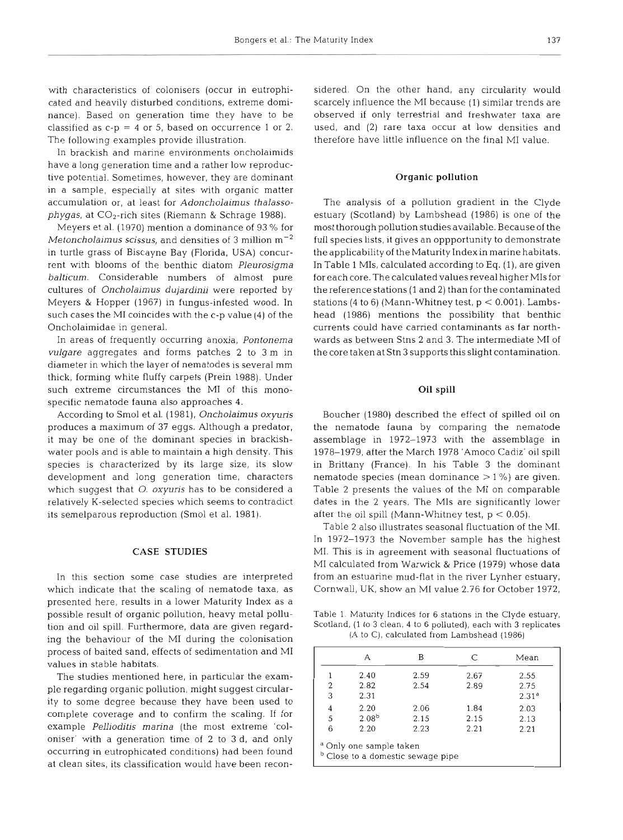with characteristics of colonisers (occur in eutrophicated and heavily disturbed conditions, extreme dominance). Based on generation time they have to be classified as  $c-p = 4$  or 5, based on occurrence 1 or 2. The following examples provide illustration.

In brackish and marine environments oncholaimids have a long generation time and a rather low reproductive potential. Sometimes, however, they are dominant in a sample, especially at sites with organic matter accumulation or, at least for *Adoncholaimus thalassophygas,* at CO2-rich sites (Riemann & Schrage 1988).

Meyers et al. (1970) mention a dominance of 93 % for *Metoncholaimus scissus,* and densities of 3 million  $m^{-2}$ in turtle grass of Biscayne Bay (Florida, USA) concurrent with blooms of the benthic diatom *Pleurosigma balticum.* Considerable numbers of almost pure cultures of *Oncholairnus dujardinii* were reported by Meyers & Hopper (1967) in fungus-infested wood. In such cases the M1 coincides with the c-p value (4) of the Oncholaimidae in general.

In areas of frequently occurring anoxia, *Pontonema vulgare* aggregates and forms patches 2 to 3 m in diameter in which the layer of nematodes is several mm thick, forming white fluffy carpets (Prein 1988). Under such extreme circumstances the M1 of this monospecific nematode fauna also approaches 4.

According to Smol et al. (1981), *Oncholaimus oxyuris*  produces a maximum of 37 eggs. Although a predator, it may be one of the dominant species in brackishwater pools and is able to maintain a high density. This species is characterized by its large size, its slow development and long generation time, characters which suggest that *0. oxyuris* has to be considered a relatively K-selected species which seems to contradict its semelparous reproduction (Smol et al. 1981).

## **CASE STUDIES**

In this section some case studies are interpreted which indicate that the scaling of nematode taxa, as presented here, results in a lower Maturity Index as a possible result of organic pollution, heavy metal pollution and oil spill. Furthermore, data are given regarding the behaviour of the M1 during the colonisation process of baited sand, effects of sedimentation and M1 values in stable habitats.

The studies mentioned here, in particular the example regarding organic pollution, might suggest circularity to some degree because they have been used to complete coverage and to confirm the scaling. If for example *Pellioditis manna* (the most extreme 'coloniser' with a generation time of 2 to 3 d, and only occurring in eutrophicated conditions) had been found at clean sites, its classification would have been reconsidered. On the other hand, any circularity would<br>scarcely influence the MI because (1) similar trends are<br>observed if only terrestrial and freshwater taxa are<br>used, and (2) rare taxa occur at low densities and<br>therefore h

## **Organic pollution**

The analysis of a pollution gradient in the Clyde<br>estuary (Scotland) by Lambshead (1986) is one of the<br>most thorough pollution studies available. Because of the<br>full species lists, it gives an oppportunity to demonstrate<br>

#### **Oil spill**

Boucher (1980) described the effect of spilled oil on<br>the nematode fauna by comparing the nematode<br>assemblage in 1972–1973 with the assemblage in<br>1978–1979, after the March 1978 'Amoco Cadiz' oil spill<br>in Brittany (France

 $(A \text{ to } C)$ , calculated from Lambshead  $(1986)$ 

|   |            | В    | C    | Mean              |
|---|------------|------|------|-------------------|
| 1 | 2.40       | 2.59 | 2.67 | 2.55              |
| 2 | 2.82       | 2.54 | 2.89 | 2.75              |
| 3 | 2.31       |      |      | 2.31 <sup>a</sup> |
| 4 | 2.20       | 2.06 | 1.84 | 2.03              |
| 5 | $2.08^{b}$ | 2.15 | 2.15 | 2.13              |
| 6 | 2.20       | 2.23 | 2.21 | 2.21              |

<sup>a</sup> Only one sample taken<br><sup>b</sup> Close to a domestic sewage pipe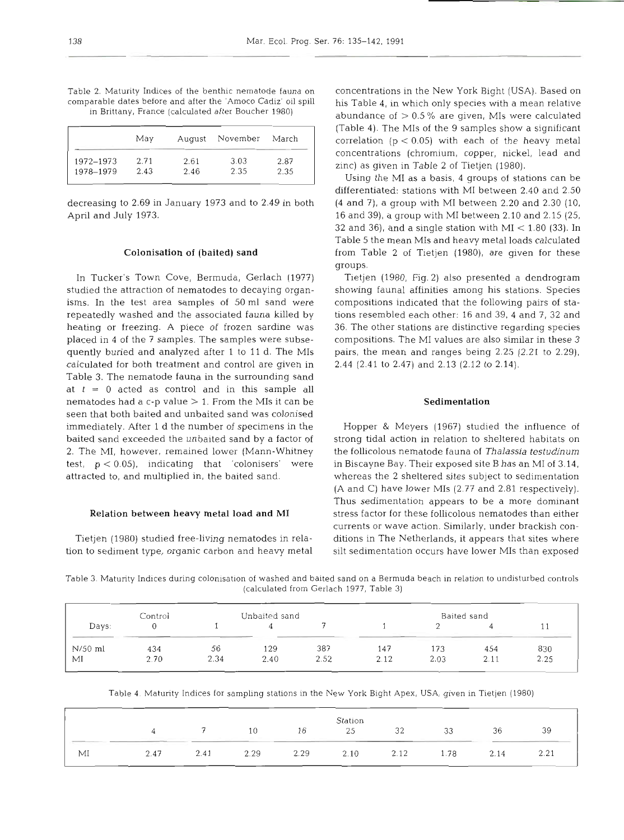| Table 2. Maturity Indices of the benthic nematode fauna on    |  |
|---------------------------------------------------------------|--|
| comparable dates before and after the 'Amoco Cadiz' oil spill |  |
| in Brittany, France (calculated after Boucher 1980)           |  |

|           | May  | August | November | March |
|-----------|------|--------|----------|-------|
| 1972-1973 | 2.71 | 2.61   | 3.03     | 2.87  |
| 1978-1979 | 2.43 | 2.46   | 2.35     | 2.35  |

decreasing to 2.69 in January 1973 and to 2.49 in both April and July 1973.

## **Colonisation of (baited) sand**

In Tucker's Town Cove, Bermuda, Gerlach (1977) studied the attraction of nematodes to decaying organisms. In the test area samples of 50 m1 sand were repeatedly washed and the associated fauna killed by heating or freezing. A piece of frozen sardine was placed in 4 of the 7 samples. The samples were subsequently buried and analyzed after 1 to 11 d. The MIs calculated for both treatment and control are given in Table 3. The nematode fauna in the surrounding sand at  $t = 0$  acted as control and in this sample all nematodes had a c-p value  $> 1$ . From the MIs it can be seen that both baited and unbaited sand was colonised immediately. After 1 d the number of specimens in the baited sand exceeded the unbaited sand by a factor of 2. The MI, however, remained lower (Mann-Whitney test, p < 0.05), indicating that 'colonisers' were attracted to, and multiplied in, the baited sand.

#### **Relation between heavy metal load and M1**

Tietjen (1980) studied free-living nematodes in relation to sediment type, organic carbon and heavy metal concentrations in the New York Bight (USA). Based on his Table 4, in which only species with a mean relative abundance of  $> 0.5\%$  are given, MIs were calculated (Table 4). The MIs of the 9 samples show a significant correlation  $(p < 0.05)$  with each of the heavy metal concentrations (chromium, copper, nickel, lead and zinc) as given in Table 2 of Tietjen (1980).

Using the M1 as a basis, 4 groups of stations can be differentiated: stations with M1 between 2.40 and 2.50 (4 and 7), a group with M1 between 2.20 and 2.30 (10, 16 and 39), a group with M1 between 2.10 and 2.15 (25, 32 and 36), and a single station with MI  $<$  1.80 (33). In Table 5 the mean MIs and heavy metal loads calculated from Table 2 of Tietjen (1980), are given for these groups.

Tietjen (1980, Fig. 2) also presented a dendrogram showing fauna1 affinities among his stations. Species compositions indicated that the following pairs of stations resembled each other: 16 and 39, 4 and **7,** 32 and 36. The other stations are distinctive regarding species compositions. The M1 values are also similar in these 3 pairs, the mean and ranges being 2.25 (2.21 to 2.29), 2.44 (2.41 to 2.47) and 2.13 (2.12 to 2.14).

## **Sedimentation**

Hopper & Meyers (1967) studied the influence of strong tidal action in relation to sheltered habitats on the follicolous nematode fauna of *Thalassia* **testudinum**  in Biscayne Bay. Their exposed site B has an M1 of 3.14, whereas the 2 sheltered sites subject to sedimentation (A and C) have lower MIs (2.77 and 2.81 respectively). Thus sedimentation appears to be a more dominant stress factor for these follicolous nematodes than either currents or wave action. Similarly, under brackish conditions in The Netherlands, it appears that sites where silt sedimentation occurs have lower MIs than exposed

Table 3. Maturity Indices during colonisation of washed and baited sand on a Bermuda beach in relation to undisturbed controls (calculated from Gerlach 1977, Table 3)

|         | Control |      | Unbaited sand |      |      |      | Baited sand |            |
|---------|---------|------|---------------|------|------|------|-------------|------------|
| Days:   |         |      |               |      |      |      |             | <b>1 1</b> |
| N/50 ml | 434     | 56   | 129           | 387  | 147  | 173  | 454         | 830        |
| MI      | 2.70    | 2.34 | 2.40          | 2.52 | 2.12 | 2.03 | 2.11        | 2.25       |

Table 4. Maturity Indices for sampling stations in the New York Bight Apex, USA, given in Tietjen (1980)

|    |      |      |      |      | Station |      |      |      |                            |
|----|------|------|------|------|---------|------|------|------|----------------------------|
|    |      |      | 10   | 16   | 25      | 32   | 33   | 36   | 39                         |
| MI | 2.47 | 2.41 | 2.29 | 2.29 | 2.10    | 2.12 | 1.78 | 2.14 | 2.21<br>$\sim$ . $\sim$ 1. |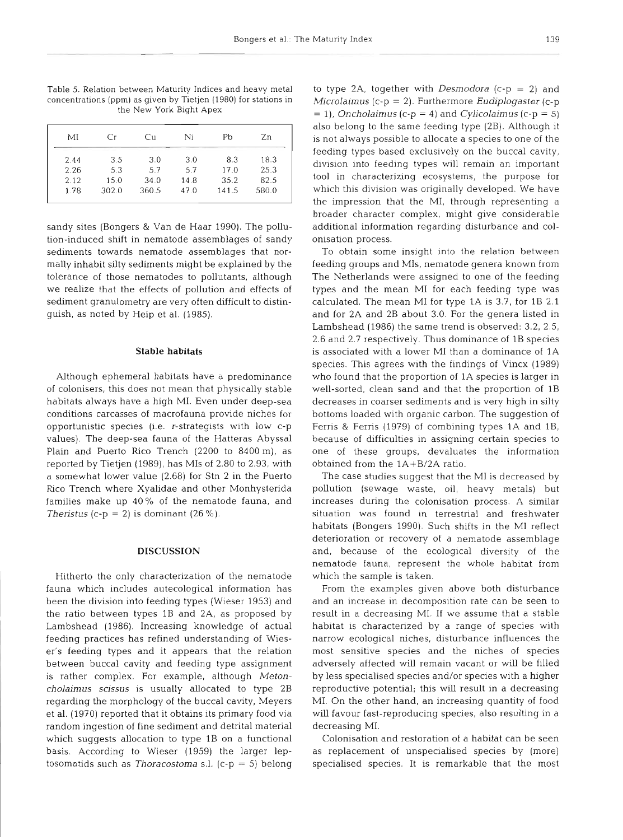Table 5. Relation between Maturity Indices and heavy metal concentrations (ppm) as given by Tietjen (1980) for stations in the New York Bight Apex

| МI   | Сr    | Сu    | Ni   | Pb    | Zn    |
|------|-------|-------|------|-------|-------|
| 2.44 | 3.5   | 3.0   | 3.0  | 8.3   | 18.3  |
| 2.26 | 5.3   | 5.7   | 5.7  | 17.0  | 25.3  |
| 2.12 | 15.0  | 34.0  | 14.8 | 35.2  | 82.5  |
| 1.78 | 302.0 | 360.5 | 47.0 | 141.5 | 580.0 |
|      |       |       |      |       |       |

sandy sites (Bongers & Van de Haar 1990). The pollution-induced shift in nematode assemblages of sandy sediments towards nematode assemblages that normally inhabit silty sediments might be explained by the tolerance of those nematodes to pollutants, although we realize that the effects of pollution and effects of sediment granulometry are very often difficult to distinguish, as noted by Heip et al. (1985).

# Stable habitats

Although ephemeral habitats have a predominance of colonisers, this does not mean that physically stable habitats always have a high MI. Even under deep-sea conditions carcasses of macrofauna provide niches for opportunistic species (i.e. r-strategists with low c-p values). The deep-sea fauna of the Hatteras Abyssal Plain and Puerto Rico Trench (2200 to 8400 m), as reported by Tietjen (1989), has MIs of 2.80 to 2.93, with a somewhat lower value (2.68) for Stn 2 in the Puerto Rico Trench where Xyalidae and other Monhysterida families make up **40%** of the nematode fauna, and The ristus (c-p = 2) is dominant  $(26\%)$ .

## **DISCUSSION**

Hitherto the only characterization of the nematode fauna which includes autecological information has been the division into feeding types (Wieser 1953) and the ratio between types 1B and 2A, as proposed by Lambshead (1986). Increasing knowledge of actual feeding practices has refined understanding of Wieser's feeding types and it appears that the relation between buccal cavity and feeding type assignment is rather complex. For example, although Metoncholaimus scissus is usually allocated to type 2B regarding the morphology of the buccal cavity, Meyers et al. (1970) reported that it obtains its primary food via random ingestion of fine sediment and detrital material which suggests allocation to type 1B on a functional basis. According to Wieser (1959) the larger leptosomatids such as Thoracostoma s.l. (c-p = 5) belong

to type 2A, together with *Desmodora*  $(c-p = 2)$  and Microlaimus (c- $p = 2$ ). Furthermore Eudiplogaster (c- $p$ )  $=$  1), Oncholaimus (c-p  $=$  4) and Cylicolaimus (c-p  $=$  5) also belong to the same feeding type (2B). Although it is not always possible to allocate a species to one of the feeding types based exclusively on the buccal cavity, division into feeding types will remain an important tool in characterizing ecosystems, the purpose for which this division was originally developed. We have the impression that the MI, through representing a broader character complex, might give considerable additional information regarding disturbance and colonisation process.

To obtain some insight into the relation between feeding groups and MIs, nematode genera known from The Netherlands were assigned to one of the feeding types and the mean M1 for each feeding type was calculated. The mean M1 for type 1A is 3.7, for 1B 2.1 and for 2A and 2B about 3.0. For the genera listed in Lambshead (1986) the same trend is observed: 3.2, 2.5, 2.6 and 2.7 respectively. Thus dominance of 1B species is associated with a lower M1 than a dominance of 1A species. This agrees with the findings of Vincx (1989) who found that the proportion of 1A species is larger in well-sorted, clean sand and that the proportion of 1B decreases in coarser sediments and is very high in silty bottoms loaded with organic carbon. The suggestion of Ferris & Ferris (1979) of combining types 1A and 1B, because of difficulties in assigning certain species to one of these groups, devaluates the information obtained from the 1A+B/2A ratio.

The case studies suggest that the M1 is decreased by pollution (sewage waste, oil, heavy metals) but increases during the colonisation process. A similar situation was found in terrestrial and freshwater habitats (Bongers 1990). Such shifts in the M1 reflect deterioration or recovery of a nematode assemblage and, because of the ecological diversity of the nematode fauna, represent the whole habitat from which the sample is taken.

From the examples given above both disturbance and an increase in decomposition rate can be seen to result in a decreasing MI. If we assume that a stable habitat is characterized by a range of species with narrow ecological niches, disturbance influences the most sensitive species and the niches of species adversely affected will remain vacant or will be filled by less specialised species and/or species with a higher reproductive potential; this will result in a decreasing MI. On the other hand, an increasing quantity of food will favour fast-reproducing species, also resulting in a decreasing MI.

Colonisation and restoration of a habitat can be seen as replacement of unspecialised species by (more) specialised species. It is remarkable that the most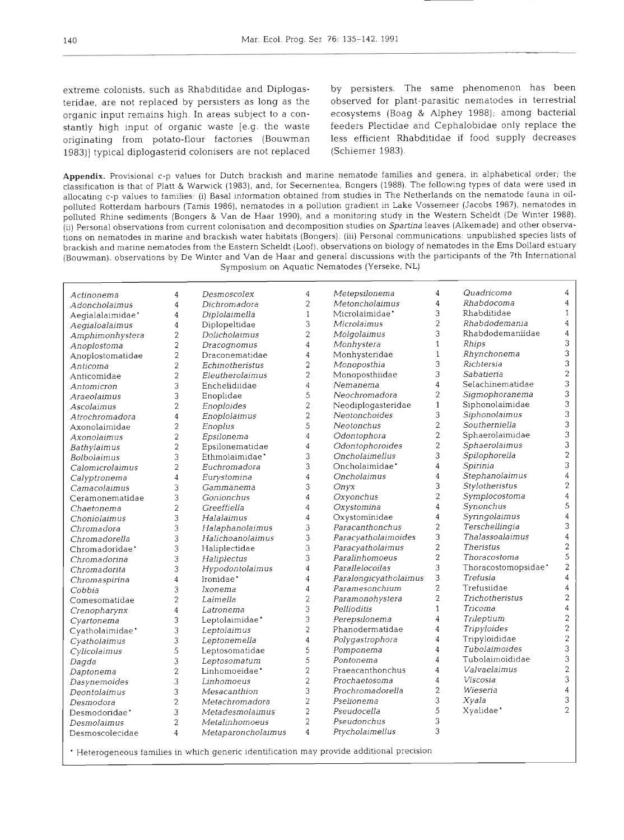teridae, are not replaced by persisters as long as the observed for plant-parasitic nematodes in terrestrial organic input remains high. In areas subject to a con- ecosystems (Boag & Alphey 1988); among bacterial stantly high input of organic waste [e.g. the waste feeders Plectidae and Cephalobidae only replace the originating from potato-flour factories (Bouwman less efficient Rhabditidae if food supply decreases 1983)] typical diplogasterid colonisers are not replaced (Schiemer 1983).

extreme colonists, such as Rhabditidae and Diplogas- by persisters. The same phenomenon has been

**Appendix.** *Provisional c-p values for Dutch brackish and marine nematode families and genera, in alphabetical order; the classification is that of Platt* & *Wanvick (1983), and, for Secernentea, Bongers (1988). The following types of data were used in*  allocating c-p values to families: (i) Basal information obtained from studies in The Netherlands on the nematode fauna in oil*polluted Rotterdam harbours (Tamis 1986), nematodes in a pollution gradient in Lake Vossemeer (Jacobs 1987), nematodes In polluted Rhine sediments (Bongers* & *Van de Haar* 1990), *and a monitonng study in the Western Scheldt (De Wlnter 1988).*  (ii) Personal observations from current colonisation and decomposition studies on Spartina leaves (Alkemade) and other observa*tions on nematodes in marine and bracklsh water habitats (Bongers). (ill) Personal communications: unpublished species lists of brackish and marlne nematodes from the Eastern Scheldt (Loof), observations on biology of nematodes in the Ems Dollard estuary (Bouwman). observations by De Winter and Van de Haar and general discussions wlth the participants of the 7th International Symposium on Aquatlc Nematodes (Yerseke, NL)* 

| Actinonema       | 4                | Desmoscolex           | $\overline{4}$ | Metepsilonema         | 4              | Quadricoma             | 4                         |
|------------------|------------------|-----------------------|----------------|-----------------------|----------------|------------------------|---------------------------|
| Adoncholaimus    | $\overline{4}$   | Dichromadora          | $\overline{c}$ | Metoncholaimus        | 4              | Rhabdocoma             | $\overline{4}$            |
| Aegialalaimidae' | $\sqrt{4}$       | Diplolaimella         | $\mathbf{1}$   | Microlaimidae'        | 3              | Rhabditidae            | $\mathbf{1}$              |
| Aegialoalaimus   | $\overline{4}$   | Diplopeltidae         | 3              | Microlaimus           | 2              | Rhabdodemania          | $\overline{4}$            |
| Amphimonhystera  | $\overline{c}$   | Dolicholaimus         | $\overline{c}$ | Molgolaimus           | 3              | Rhabdodemaniidae       | $\boldsymbol{4}$          |
| Anoplostoma      | $\sqrt{2}$       | Dracognomus           | $\overline{4}$ | Monhystera            | $\mathbf{1}$   | Rhips                  | $\mathfrak 3$             |
| Anoplostomatidae | $\sqrt{2}$       | Draconematidae        | $\overline{4}$ | Monhysteridae         | $\mathbf{1}$   | Rhynchonema            | 3                         |
| Anticoma         | $\overline{2}$   | Echinotheristus       | $\overline{c}$ | Monoposthia           | 3              | Richtersia             | 3                         |
| Anticomidae      | $\overline{2}$   | Eleutherolaimus       | $\overline{2}$ | Monoposthiidae        | 3              | Sabatieria             | $\bar{2}$                 |
| Antomicron       | 3                | Enchelidiidae         | $\overline{4}$ | Nemanema              | $\overline{4}$ | Selachinematidae       | 3                         |
| Araeolaimus      | 3                | Enoplidae             | 5              | Neochromadora         | $\overline{2}$ | Sigmophoranema         | $\mathfrak{Z}$            |
| Ascolaimus       | $\overline{c}$   | Enoploides            | $\overline{2}$ | Neodiplogasteridae    | $\mathbf{1}$   | Siphonolaimidae        | $\mathfrak{B}$            |
| Atrochromadora   | $\overline{4}$   | Enoplolaimus          | $\overline{c}$ | Neotonchoides         | 3              | Siphonolaimus          | 3                         |
| Axonolaimidae    | $\overline{2}$   | Enoplus               | 5              | <b>Neotonchus</b>     | $\overline{c}$ | Southerniella          | 3                         |
| Axonolaimus      | $\overline{2}$   | Epsilonema            | $\overline{4}$ | Odontophora           | $\overline{c}$ | Sphaerolaimidae        | 3                         |
| Bathylaimus      | $\boldsymbol{2}$ | Epsilonematidae       | $\overline{4}$ | Odontophoroides       | $\overline{2}$ | Sphaerolaimus          | $\mathfrak 3$             |
| Bolbolaimus      | 3                | Ethmolaimidae'        | 3              | Oncholaimellus        | 3              | Spilophorella          | $\sqrt{2}$                |
| Calomicrolaimus  | $\overline{c}$   | Euchromadora          | 3              | Oncholaimidae'        | 4              | Spirinia               | 3                         |
| Calyptronema     | $\overline{4}$   | Eurystomina           | $\overline{4}$ | Oncholaimus           | 4              | Stephanolaimus         | $\overline{4}$            |
| Camacolaimus     | 3                | Gammanema             | 3              | Onyx                  | 3              | Stylotheristus         | $\sqrt{2}$                |
| Ceramonematidae  | 3                | Gonionchus            | 4              | Oxyonchus             | $\overline{c}$ | Symplocostoma          | $\overline{4}$            |
| Chaetonema       | $\overline{2}$   | Greeffiella           | $\overline{4}$ | Oxystomina            | $\overline{4}$ | Synonchus              | $\sqrt{5}$                |
| Choniolaimus     | 3                | Halalaimus            | $\overline{4}$ | Oxystominidae         | $\overline{4}$ | Syringolaimus          | $\bf{4}$                  |
| Chromadora       | 3                | Halaphanolaimus       | 3              | Paracanthonchus       | $\overline{2}$ | Terschellingia         | 3                         |
| Chromadorella    | 3                | Halichoanolaimus      | 3              | Paracyatholaimoides   | 3              | <i>Thalassoalaimus</i> | $\overline{4}$            |
| Chromadoridae'   | 3                | Haliplectidae         | 3              | Paracyatholaimus      | $\overline{2}$ | <b>Theristus</b>       | $\sqrt{2}$                |
| Chromadorina     | 3                | Haliplectus           | 3              | Paralinhomoeus        | $\overline{2}$ | Thoracostoma           | $\mathsf S$               |
| Chromadorita     | 3                | Hypodontolaimus       | $\overline{4}$ | Parallelocoilas       | 3              | Thoracostomopsidae'    | $\overline{\mathbf{2}}$   |
| Chromaspirina    | $\overline{4}$   | Ironidae <sup>*</sup> | $\overline{4}$ | Paralongicyatholaimus | 3              | Trefusia               | $\overline{4}$            |
| Cobbia           | 3                | Ixonema               | $\overline{4}$ | Paramesonchium        | $\overline{2}$ | Trefusiidae            | $\overline{4}$            |
| Comesomatidae    | $\overline{2}$   | Laimella              | $\overline{c}$ | Paramonohystera       | $\overline{c}$ | Trichotheristus        | $\sqrt{2}$                |
| Crenopharynx     | $\overline{4}$   | Latronema             | 3              | Pellioditis           | $\mathbf{1}$   | Tricoma                | $\overline{4}$            |
| Cyartonema       | 3                | Leptolaimidae'        | 3              | Perepsilonema         | 4              | Trileptium             | $\sqrt{2}$                |
| Cyatholaimidae'  | 3                | Leptolaimus           | $\overline{c}$ | Phanodermatidae       | 4              | Tripyloides            | $\sqrt{2}$                |
| Cyatholaimus     | 3                | Leptonemella          | $\overline{4}$ | Polygastrophora       | 4              | Tripyloididae          | $\overline{c}$            |
| Cylicolaimus     | 5                | Leptosomatidae        | 5              | Pomponema             | $\overline{4}$ | Tubolaimoides          | $\ensuremath{\mathsf{3}}$ |
| Daqda            | 3                | Leptosomatum          | 5              | Pontonema             | 4              | Tubolaimoididae        | $\ensuremath{\mathsf{3}}$ |
| Daptonema        | $\overline{c}$   | Linhomoeidae'         | $\overline{2}$ | Praeacanthonchus      | $\overline{4}$ | Valvaelaimus           | $\sqrt{2}$                |
| Dasynemoides     | 3                | Linhomoeus            | $\overline{c}$ | Prochaetosoma         | $\overline{4}$ | Viscosia               | 3                         |
| Deontolaimus     | 3                | Mesacanthion          | 3              | Prochromadorella      | $\overline{2}$ | Wieseria               | $\overline{4}$            |
| Desmodora        | $\overline{2}$   | Metachromadora        | $\overline{2}$ | Pselionema            | 3              | Xyala                  | 3                         |
| Desmodoridae'    | 3                | Metadesmolaimus       | $\overline{c}$ | Pseudocella           | 5              | Xyalidae <sup>*</sup>  | $\overline{2}$            |
| Desmolaimus      | $\overline{c}$   | Metalinhomoeus        | $\overline{2}$ | Pseudonchus           | 3              |                        |                           |
|                  | $\overline{4}$   | Metaparoncholaimus    | $\overline{4}$ | Ptycholaimellus       | 3              |                        |                           |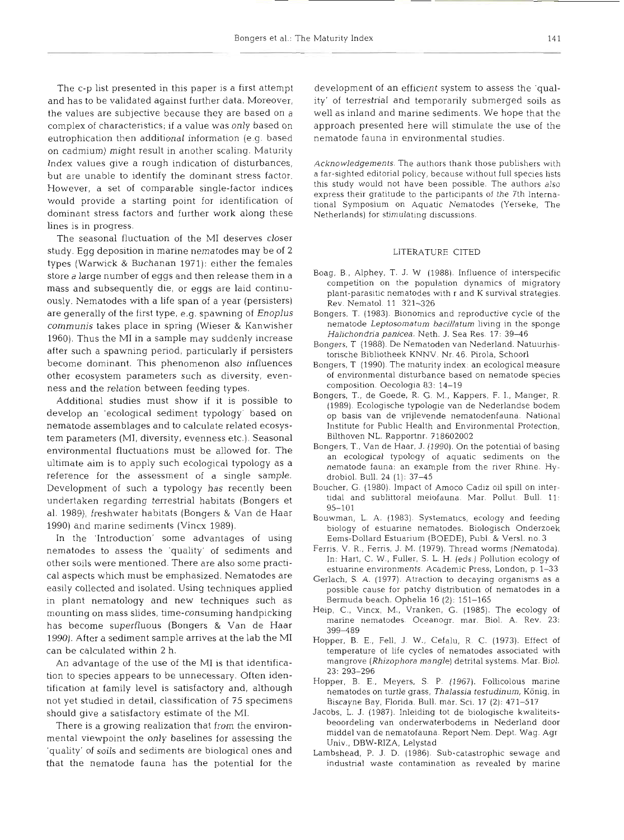The c-p list presented in this paper is a first attempt and has to be validated against further data. Moreover, the values are subjective because they are based on a complex of characteristics; if a value was only based on eutrophication then additional information (e.g. based on cadmium) might result in another scaling. Maturity Index values give a rough indication of disturbances, but are unable to identify the dominant stress factor. However, a set of comparable single-factor indices would provide a starting point for identification of dominant stress factors and further work along these lines is in progress.

The seasonal fluctuation of the MI deserves close study. Egg deposition in marine nematodes may be of 2 types (Warwick & Buchanan 1971): either the females store a large number of eggs and then release them in a mass and subsequently die, or eggs are laid continuously. Nematodes with a life span of a year (persisters) are generally of the first type, e.g. spawning of Enoplus *communis* takes place in spring (Wieser & Kanwisher 1960). Thus the M1 in a sample may suddenly increase after such a spawning period, particularly if persisters become dominant. This phenomenon also influences other ecosystem parameters such as diversity, evenness and the relation between feeding types.

Additional studies must show if it is possible to develop an 'ecological sediment typology' based on nematode assemblages and to calculate related ecosystem parameters (MI, diversity, evenness etc.). Seasonal environmental fluctuations must be allowed for. The ultimate aim is to apply such ecological typology as a reference for the assessment of a single sample. Development of such a typology has recently been undertaken regarding terrestrial habitats (Bongers et al. 1989), freshwater habitats (Bongers & Van de Haar 1990) and marine sediments (Vincx 1989).

In the 'Introduction' some advantages of using nematodes to assess the 'quality' of sediments and other soils were mentioned. There are also some practical aspects which must be emphasized. Nematodes are easily collected and isolated. Using techniques applied in plant nematology and new techniques such as mounting on mass slides, time-consuming handpicking has become superfluous (Bongers & Van de Haar 1990). After a sediment sample arrives at the lab the M1 can be calculated within **2** h.

An advantage of the use of the M1 is that identification to species appears to be unnecessary. Often identification at family level is satisfactory and, although not yet studied in detail, classification of 75 specimens should give a satisfactory estimate of the MI.

There is a growing realization that from the environmental viewpoint the only baselines for assessing the 'quality' of soils and sediments are biological ones and that the nematode fauna has the potential for the development of an efficient system to assess the 'quality' of terrestrial and temporarily submerged soils as well as inland and marine sediments. We hope that the approach presented here will stimulate the use of the nematode fauna in environmental studies.

Acknowledgements. The authors thank those publishers with a far-sighted editorial policy, because without full species lists this study would not have been possible. The authors also express their gratitude to the participants of the 7th International Symposium on Aquatic Nematodes (Yerseke, The Netherlands) for stimulating discussions.

#### LITERATURE CITED

- Boag, B., Alphey, T. J. W (1988). Influence of interspecific competition on the population dynamics of migratory plant-parasitic nematodes with r and K survival strategies. Rev. Nematol. 11 321-326
- Bongers, T. (1983). Bionomics and reproductive cycle of the nematode Leptosomatum bacillatum living in the sponge Halichondria panicea. Neth. J. Sea Res. 17: 39-46
- Bongers. T (1988). De Nematoden van Nederland. Natuurhistorische Bibliotheek KNNV. Nr. 46. Pirola, Schoorl
- Bongers, T (1990). The maturity index: an ecological measure of environmental disturbance based on nematode species composition. Oecologia 83: 14-19
- Bongers, T., de Goede, R. G. M., Kappers, F. I., Manger, R (1989). Ecologische typologie van de Nederlandse bodem op basis van de vrijlevende nematodenfauna. National Institute for Public Health and Environmental Protection, Bilthoven NL. Rapportnr. 718602002
- Bongers, T., Van de Haar, J. (1990). On the potential of basing an ecological typology of aquatic sediments on the nematode fauna: an example from the river Rhine. Hydrobiol. Bull. 24 (1): 37-45
- Boucher, G. (1980). Impact of Amoco Cadiz oil spill on intertidal and sublittoral meiofauna. Mar. Pollut. Bull. 11. 95-101
- Bouwrnan, L. A. (1983). Systematics, ecology and feeding biology of estuarine nematodes. Biologisch Onderzoek Eems-Dollard Estuarium (BOEDE). Publ. & Versl. no. 3
- Ferris, V. R., Ferris, J. M. (1979). Thread worms (Nematoda) In: Hart, C. W., Fuller, S. L. H. (eds.) Pollution ecology of estuarine environments. Academic Press, London, p. 1-33
- Gerlach, S. A. (1977). Atraction to decaying organisms as a possible cause for patchy distribution of nematodes in a Bermuda beach. Ophelia 16 (2): 151-165
- Heip, C., Vincx, M., Vranken, G. (1985). The ecology of marine nematodes Oceanogr. mar. Biol. A. Rev. 23: 399489
- Hopper, B. E., Fell, J. W., Cefalu, R. C. (1973). Effect of temperature of life cycles of nematodes associated with mangrove (Rhizophora mangle) detrital systems. Mar. Biol. 23: 293-296
- Hopper, B. E., Meyers, S. P. (1967). Follicolous marine nematodes on turtle grass, Thalassia testudinum, König, in Biscayne Bay, Florida. Bull. mar. Sci. 17 (2): 471-517
- Jacobs, L. J. (1987). Inleiding tot de biologische kwaliteitsbeoordeling van onderwaterbodems in Nederland door middel van de nematofauna. Report Nem. Dept. Wag. Agr Univ., DBW-RIZA, Lelystad
- Lambshead, P. J. D. (1986). Sub-catastrophic sewage and industnal waste contamination as revealed by marine